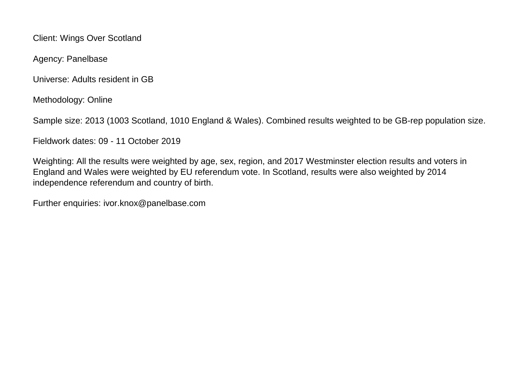Client: Wings Over Scotland

Agency: Panelbase

Universe: Adults resident in GB

Methodology: Online

Sample size: 2013 (1003 Scotland, 1010 England & Wales). Combined results weighted to be GB-rep population size.

Fieldwork dates: 09 - 11 October 2019

Weighting: All the results were weighted by age, sex, region, and 2017 Westminster election results and voters in England and Wales were weighted by EU referendum vote. In Scotland, results were also weighted by 2014 independence referendum and country of birth.

Further enquiries: ivor.knox@panelbase.com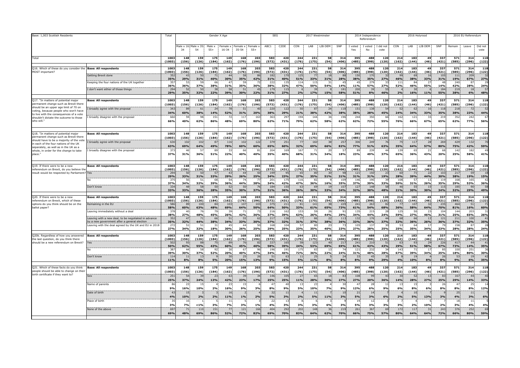| Base: 1,003 Scottish Residents                                                                                           |                                                                                                     | Total                         | Gender X Age          |                             |                 |                          |                   |                 | <b>SEG</b><br>2017 Westminster |                        |                 |                  |                       | 2014 Independence<br>Referendum |                 |                                 | 2016 Holyrood         |                        |                      |             | 2016 EU Referendum |                  |                 |                  |
|--------------------------------------------------------------------------------------------------------------------------|-----------------------------------------------------------------------------------------------------|-------------------------------|-----------------------|-----------------------------|-----------------|--------------------------|-------------------|-----------------|--------------------------------|------------------------|-----------------|------------------|-----------------------|---------------------------------|-----------------|---------------------------------|-----------------------|------------------------|----------------------|-------------|--------------------|------------------|-----------------|------------------|
|                                                                                                                          |                                                                                                     |                               | 34                    | 1ale x 16. Male x 35<br>54  | Male ><br>$55+$ | Female x<br>16-34        | Female x<br>35-54 | Female<br>$55+$ | ABC1                           | C <sub>2</sub> DE      | CON             | LAB              | LIB DEM               | SNP                             | Yes             | I voted I voted I did not<br>No | vote                  | CON                    | LAB                  | LIB DEM     | SNP                | Remain           | Leave           | Did not<br>vote  |
| Total                                                                                                                    |                                                                                                     | 1003<br>(1003                 | 148<br>(156)          | 159<br>(126)                | 175<br>(184)    | 149<br>(162)             | 168<br>(176)      | 203<br>(196)    | 583<br>(572)                   | 420<br>(431)           | 244<br>(176)    | 231<br>(175)     | 58<br>(54)            | 314<br>(406)                    | 395<br>(485)    | 488<br>(398)                    | 120<br>(120)          | 214<br>(162)           | 183<br>(144)         | 49<br>(46)  | 337<br>(421)       | 571<br>(585)     | 314<br>(296)    | 118<br>(122)     |
| Q16. Which of these do you consider the<br><b>Base: All respondents</b><br>MOST important?                               |                                                                                                     | 1003<br>(1003)                | 148<br>(156)          | 159<br>(126)                | 175<br>(184)    | 149<br>(162)             | 168<br>(176)      | 203<br>(196)    | 583<br>(572)                   | 420<br>(431)           | 244<br>(176)    | 231<br>(175)     | 58<br>(54)            | 314<br>(406)                    | 395<br>(485)    | 488<br>(398)                    | 120<br>(120)          | 214<br>(162)           | 183<br>(144)         | 49<br>(46)  | 337<br>(421)       | 571<br>(585)     | 314<br>(296)    | 118<br>(122)     |
|                                                                                                                          | Getting Brexit done                                                                                 | 35                            |                       |                             | 71              |                          |                   |                 | 182                            | 17                     | 125             | 77               |                       |                                 | 150             | 170                             |                       | gg                     | 6 <sup>c</sup>       | 16          | 105                | 111              | 20 <sup>c</sup> | 32               |
|                                                                                                                          | Keeping the four nations of the UK together                                                         | 35%<br>35                     | 29%<br>-53            | 31%<br>-59                  | 40%<br>66       | 30%<br>4 <sub>1</sub>    | 35%<br>-59        | 42%             | 31%<br>-222                    | 40%<br>13              | 51%<br>114      | 33%<br>115       | 31%<br>-31            | 28%                             | 38%<br>45       | 35%<br>279                      | 27%<br>-31            | 46%<br>111             | 38%<br>8             | 33%<br>-23  | 31%<br>$\Delta$    | 19%<br>240       | 67%<br>87       | 27%<br>29        |
|                                                                                                                          | don't want either of those things                                                                   | 36%<br>29 <sub>0</sub><br>29% | 36%<br>35%            | 37%<br>32%                  | 38%<br>22%      | 31%<br>39%               | 35%               | 36%<br>22%      | 38%<br>179<br>31%              | 32%<br>11<br>27%       | 47%<br>20/      | 50%<br>17%       | 54%<br>15%            | 14%<br>181<br>58%               | 11%<br>200      | 57%<br>80/                      | 27%<br>46%            | 52%<br>20/6            | 46%<br>16%           | 55%<br>110/ | 14%<br>184<br>55%  | 42%<br>219       | 28%<br>6%       | 24%<br>48%       |
| Q17. "In matters of potential major                                                                                      | <b>Base: All respondents</b>                                                                        | 1003                          | 148                   | 159                         | 175             | 149                      | 30%<br>168        | 203             | 583                            | 420                    | 244             | 231              | 58                    | 314                             | 51%<br>395      | 488                             | 120                   | 214                    | 183                  | 49          | 337                | 38%<br>571       | 314             | 118              |
| permanent change such as Brexit there                                                                                    |                                                                                                     | (1003)                        | (156)                 | (126)                       | (184)           | (162)                    | (176)             | (196)           | (572)                          | (431)                  | (176)           | (175)            | (54)                  | (406)                           | (485)           | (398)                           | (120)                 | (162)                  | (144)                | (46)        | (421)              | (585)            | (296)           | (122)            |
| should be an upper age limit of 70 on<br>voting, because people who won't have                                           | broadly agree with the proposal                                                                     | 34<br>34%                     | 60%                   | 38%                         | 24<br>14%       | 52%                      | 31%               | 20%             | 221<br>38%                     | 12<br>29%              | 50<br>21%       | 87<br>38%        | $\overline{2}$<br>42% | 11<br>38%                       | 151<br>38%      | 138<br>28%                      | 45%                   | 52<br>24%              | 34%                  | 16<br>33%   | 118<br>35%         | 218<br>38%       | 23%             | 52<br>44%        |
| to live with the consequences of a vote<br>shouldn't dictate the outcome to those                                        | broadly disagree with the proposal                                                                  | 66                            | 59                    | 98                          | 151             | -72                      | 117               | 163             | 363                            | 29                     | 194             | 144              | 34                    | 196                             | 244             | 350                             | 6                     | 162                    | 12                   | 33          | 219                | 352              | 242             | 67               |
| who will."                                                                                                               |                                                                                                     | 66%                           | 40%                   | 62%                         | 86%             | 48%                      | 69%               | 80%             | 62%                            | 71%                    | 79%             | 62%              | 58%                   | 62%                             | 62%             | 72%                             | 55%                   | 76%                    | 66%                  | 67%         | 65%                | 62%              | 77%             | 56%              |
| Q18. "In matters of potential major                                                                                      | Base: All respondents                                                                               | 1003                          | 148                   | 159                         | 175             | 149                      | 168               | 203             | 583                            | 420                    | 244             | 231              | 58                    | 314                             | 395             | 488                             | 120                   | 214                    | 183                  | 49          | 337                | 571              | 314             | 118              |
| permanent change such as Brexit there<br>should have to be a majority of the vote                                        | I broadly agree with the proposal                                                                   | (1003)<br>63                  | (156)<br>102          | (126)<br>102                | (184)<br>87     | (162)<br>116             | (176)<br>102      | (196)<br>122    | (572)<br>379                   | (431)<br>25            | (176)<br>77     | (175)<br>160     | (54)<br>-38           | (406)<br>257                    | (485)<br>306    | (398)<br>249                    | (120)                 | (162)<br>75            | (144)<br>117         | (46)<br>28  | (421)<br>269       | (585)<br>429     | (296)<br>132    | (122)<br>70      |
| in each of the four nations of the UK<br>separately, as well as in the UK as a                                           |                                                                                                     | 63%                           | 69%                   | 64%                         | 49%             | 78%                      | 60%               | 60%             | 65%                            | 60%                    | 32%             | 69%              | 66%                   | 82%                             | 77%             | 51%                             | 63%                   | 35%                    | 64%                  | 57%         | 80%                | 75%              | 42%             | 59%              |
| whole, in order for the change to take<br>place.                                                                         | broadly disagree with the proposal                                                                  | 37<br>37%                     | 46<br>31%             | -57<br>36%                  | 89<br>51%       | -33<br>22%               | 66<br>40%         | -8<br>40%       | 204<br>35%                     | 169<br>40%             | 167<br>68%      | 71<br>31%        | 20<br>34%             | -5<br>18%                       | 89<br>23%       | 239<br>49%                      | $\mathbf{A}$<br>37%   | 139<br>65%             | -6<br>36%            | 21<br>43%   | -68<br>20%         | 142<br>25%       | 182<br>58%      | 49<br>41%        |
| O19. If there were to be a new                                                                                           | <b>Base: All respondents</b>                                                                        | 1003                          | 148                   | 159                         | 175             | 149                      | 168               | 203             | 583                            | 420                    | 244             | 231              | 58                    | 314                             | 395             | 488                             | 120                   | 214                    | 183                  | 49          | 337                | 571              | 314             | 118              |
| referendum on Brexit, do you believe the<br>result would be respected by Parliament? Yes                                 |                                                                                                     | (1003)<br>29                  | (156)                 | (126)                       | (184)<br>57     | (162)                    | (176)             | (196)           | (572)<br>199                   | (431)                  | (176)<br>65     | (175)<br>8C      | (54)                  | (406)                           | (485)<br>121    | (398)<br>150                    | (120)                 | (162)<br>60            | (144)<br>$7^{\circ}$ | (46)<br>22  | (421)<br>103       | (585)<br>217     | (296)<br>-59    | (122)<br>18      |
|                                                                                                                          |                                                                                                     | 29%<br>37                     | 33%                   | 31%<br>-51                  | 33%<br>68       | 29%<br>54                | 26%               | 25%             | 34%<br>201                     | 23%<br>17              | 27%<br>116      | 35%<br>82        | 51%                   | 31%<br>10                       | 31%<br>146      | 31%<br>190                      | 19%                   | <b>28%</b><br>108      | 39%<br>-5            | 44%         | 30%<br>119         | 38%<br>168       | 19%<br>165      | 15%<br>42        |
|                                                                                                                          |                                                                                                     | 37%                           | 34%                   | 32%                         | 39%             | 36%                      | 44%<br>50         | 38%             | 34%                            | 42%                    | 47%             | 36%              | 16%                   | 35%                             | 37%             | 39%                             | 33%<br>5              | 50%                    | 31%                  | 26%<br>15   | 35%                | 29%              | 53%             | 36%<br>58        |
|                                                                                                                          | Don't know                                                                                          | 33 <sup>o</sup><br>33%        | 33%                   | 36%                         | 50<br>28%       | -52<br>35%               | 30%               | 37%             | 184<br>31%                     | 150<br>36%             | 63<br>26%       | 69<br>30%        | 33%                   | 107<br>34%                      | 127<br>32%      | 148<br>30%                      | 48%                   | 46<br>21%              | - 55<br>30%          | 30%         | 115<br>34%         | 185<br>32%       | 90<br>29%       | 49%              |
| O20. If there were to be a new                                                                                           | <b>Base: All respondents</b>                                                                        | 1003                          | 148                   | 159                         | 175             | 149                      | 168               | 203             | 583                            | 420                    | 244             | 231              | 58                    | 314                             | 395             | 488                             | 120                   | 214                    | 183                  | 49          | 337                | 571              | 314             | 118              |
| referendum on Brexit, which of these<br>options do you think should be on the                                            | lemaining in the EU                                                                                 | (1003)<br>58                  | (156)                 | (126)<br>10                 | (184)           | (162)<br>10 <sup>5</sup> | (176)<br>10       | (196)<br>10     | (572)<br>37                    | (431)<br>21            | (176)<br>81     | (175)<br>141     | (54)                  | (406)<br>229                    | (485)<br>241    | (398)<br>26                     | (120)                 | (162)                  | (144)<br>10          | (46)        | (421)<br>23!       | (585)<br>46      | (296)           | (122)            |
| ballot paper?                                                                                                            | eaving immediately without a deal                                                                   | 58%<br>37                     | 60%                   | 63%                         | 48%             | 69%                      | 64%               | 50%             | 64%<br>216                     | 50%<br>16              | 33%<br>153      | 61%<br>51        | 65%                   | 73%                             | 61%<br>135      | 54%<br>215                      | 68%                   | 36%<br>125             | 58%                  | 64%         | 70%<br>104         | 81%<br>144       | 16%<br>203      | 60%<br>31        |
|                                                                                                                          |                                                                                                     | 38%<br>35                     | 27%<br>4 <sub>1</sub> | 48%                         | 45%<br>66       | 26%<br>51                | 42%               | 36%<br>63       | 37%<br>217                     | 39%<br>13(             | 63%<br>77       | 26%<br>86        | 44%<br>$\overline{2}$ | 29%<br>11                       | 34%<br>132      | 44%<br>176                      | 24%<br>$\overline{4}$ | 59%<br>68              | 27%<br>6             | 46%         | 31%<br>121         | 25%<br>211       | 65%<br>100      | 26%<br>41        |
|                                                                                                                          | Leaving with a new deal, to be negotiated in advance<br>y a new government after a general election | 35%                           | 32%                   | 44%                         | 38%             | 34%                      | 33%               | 30%             | 37%                            | 32%                    | 31%             | 37%              | 38%                   | 36%                             | 33%             | 36%                             | 37%                   | 32%                    | 36%                  | 26%         | 36%                | 37%              | 32%             | 35%              |
|                                                                                                                          | Leaving with the deal agreed by the UK and EU in 2018                                               | 27<br>27%                     | 5<br>34%              | -51<br>32%                  | 31<br>18%       | 30%                      | $\Lambda$<br>26%  | <b>25%</b>      | 168<br>29%                     | 10 <sub>4</sub><br>25% | 57<br>23%       | 80<br>35%        | 40%                   | 230                             | 105<br>27%      | 137<br>28%                      | 25%                   | 53<br>25%              | 35%                  | 34%         | -79<br>23%         | 158<br>28%       | 87<br>28%       | 28<br>24%        |
| Q20b. Regardless of how you answered<br>the last question, do you think there<br>should be a new referendum on Brexit?   | <b>Base: All respondents</b>                                                                        | 1003<br>(1003)                | 148<br>(156)          | 159<br>(126)                | 175<br>(184)    | 149<br>(162)             | 168<br>(176)      | 203<br>(196)    | 583<br>(572)                   | 420<br>(431)           | 244<br>(176)    | 231<br>(175)     | 58<br>(54)            | 314<br>(406)                    | 395<br>(485)    | 488<br>(398)                    | 120<br>(120)          | 214<br>(162)           | 183<br>(144)         | 49<br>(46)  | 337<br>(421)       | 571<br>(585)     | 314<br>(296)    | 118<br>(122)     |
|                                                                                                                          | 'es                                                                                                 | 50                            |                       |                             | 75              |                          |                   |                 | 337                            | 16                     |                 | 123              |                       | 21                              | 241             | 210                             |                       | -63                    |                      |             | 226                | 417              | 44              | 41               |
|                                                                                                                          |                                                                                                     | 50%<br>38                     | 62%<br>4 <sub>4</sub> | 55%                         | 43%<br>-92      | 60%                      | 45%               | 40%<br>47%      | 58%<br>19                      | 39%<br>19              | 24%<br>175      | 53%<br>83        | 69%                   | 69%<br>24%                      | 51%<br>121      | 43%<br>23                       | 43%                   | 29%<br>14 <sup>3</sup> | 51%                  | 58%<br>34%  | 67%<br>-85         | 73%<br>100       | 14%<br>251      | 35%<br>36        |
|                                                                                                                          | Oon't know                                                                                          | 39%<br>11 <sub>4</sub><br>11% | 30%<br>11<br>8%       | 37%<br>1 <sup>5</sup><br>8% | 52%<br>5%       | 20%<br>20%               | 40%<br>25<br>15%  | 13%             | 34%<br>51<br>9%                | 46%<br>15%             | 72%<br>11<br>5% | 36%<br>25<br>11% | 22%<br>8%             | 8%                              | 31%<br>33<br>8% | 48%<br>45<br>9%                 | 28%<br>29%            | 67%<br>4%              | 39%<br>10%           |             | 25%<br>26<br>8%    | 18%<br>-53<br>9% | 80%<br>6%       | 30%<br>42<br>35% |
|                                                                                                                          |                                                                                                     | 1003                          | 148                   | 159                         | 175             | 149                      | 168               | 203             | 583                            | 420                    | 244             | 231              | 58                    |                                 | 395             | 488                             | 120                   | 214                    |                      | 49          | 337                |                  | 314             | 118              |
| Q21. Which of these facts do you think<br>people should be able to change on their<br>birth certificate if they want to? | <b>Base: All respondents</b>                                                                        | (1003)                        | (156)                 | (126)                       | (184)           | (162)                    | (176)             | (196)           | (572)                          | (431)                  | (176)           | (175)            | (54)                  | 314<br>(406)                    | (485)           | (398)                           | (120)                 | (162)                  | 183<br>(144)         | (46)        | (421)              | 571<br>(585)     | (296)           | (122)            |
|                                                                                                                          |                                                                                                     | 25 <sup>2</sup><br>25%        | 54<br>37%             | 24%                         | 23<br>13%       | 63<br>42%                | 39<br>23%         | 17%             | 146<br>25%                     | 105<br>25%             | 27<br>11%       | 65<br>28%        | 18<br>30%             | 27%                             | 108<br>27%      | 99<br>20%                       | 36%                   | 30<br>14%              | 52<br>28%            | 13<br>27%   | 83<br>25%          | 167<br>29%       | 44<br>14%       | 40<br>33%        |
|                                                                                                                          | lame of parents                                                                                     | $\mathbf{g}$                  | 23                    |                             |                 | 2 <sup>5</sup>           | 15                |                 | 47                             | $\overline{a}$         | 13              | 23               |                       | 30                              | 47              | 28                              | 1                     | 13                     | 1!                   |             | 26                 | 47               | 25              | 14               |
|                                                                                                                          | Date of birth                                                                                       | 9%<br>$\mathbf{A}$            | 16%<br>1 <sup>t</sup> | 10%                         | 2%              | 16%<br>16                | 9%                | 3%              | 8%<br>32                       | 9%<br>11               | 5%              | 10%<br>11        | 7%                    | 9%<br>10                        | 12%<br>21       | 6%<br>14                        | 9%                    | 6%                     | 8%<br>1 <sup>1</sup> | 6%          | 8%                 | 8%<br>25         | 8%<br>11        | 12%              |
|                                                                                                                          |                                                                                                     | 4%                            | 10%                   | 2%                          | 2%              | 11%<br>11                | 1%                | 2%              | 5%<br>$\mathcal{L}$            | 3%                     | 2%              | 5%               | 11%                   | 3%                              | 5%<br>19        | 3%<br>12                        | 6%                    | 2%                     | 5%                   | 13%         | 3%                 | 4%<br>18         | 3%              | 6%               |
|                                                                                                                          | lace of birth                                                                                       | 3%                            | 7%                    | 10/                         | 3%              | 7%                       | 3%                | 1%              | 4%                             | 3%                     | 3%              | 3%               | 6%                    | 3%                              | 5%              | 3%                              | 3%                    | 3%                     | 2%                   | 10%         | 2%                 | 3%               | 11<br>4%        | 4%               |
|                                                                                                                          | Vone of the above                                                                                   | 69<br>69%                     |                       | 110                         | 151             |                          | 121               | 166             | 404<br>69%                     | 29<br>70%              | 202<br>83%      | 148              |                       | 219                             | 261             | 367<br>75%                      | 69                    | 172                    | 11<br>64%            |             | 243<br>72%         | 376              | 252             | 69               |
|                                                                                                                          |                                                                                                     |                               | 48%                   | 69%                         | 86%             | 52%                      | 72%               | 82%             |                                |                        |                 | 64%              | 62%                   | 70%                             | 66%             |                                 | 57%                   | 80%                    |                      | 64%         |                    | 66%              | 80%             | 59%              |